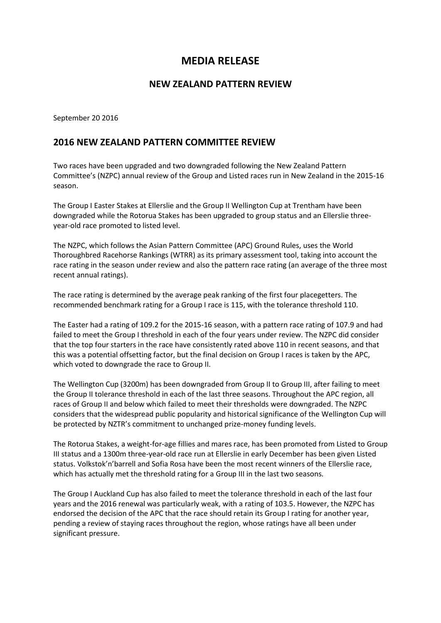## **MEDIA RELEASE**

## **NEW ZEALAND PATTERN REVIEW**

September 20 2016

## **2016 NEW ZEALAND PATTERN COMMITTEE REVIEW**

Two races have been upgraded and two downgraded following the New Zealand Pattern Committee's (NZPC) annual review of the Group and Listed races run in New Zealand in the 2015-16 season.

The Group I Easter Stakes at Ellerslie and the Group II Wellington Cup at Trentham have been downgraded while the Rotorua Stakes has been upgraded to group status and an Ellerslie threeyear-old race promoted to listed level.

The NZPC, which follows the Asian Pattern Committee (APC) Ground Rules, uses the World Thoroughbred Racehorse Rankings (WTRR) as its primary assessment tool, taking into account the race rating in the season under review and also the pattern race rating (an average of the three most recent annual ratings).

The race rating is determined by the average peak ranking of the first four placegetters. The recommended benchmark rating for a Group I race is 115, with the tolerance threshold 110.

The Easter had a rating of 109.2 for the 2015-16 season, with a pattern race rating of 107.9 and had failed to meet the Group I threshold in each of the four years under review. The NZPC did consider that the top four starters in the race have consistently rated above 110 in recent seasons, and that this was a potential offsetting factor, but the final decision on Group I races is taken by the APC, which voted to downgrade the race to Group II.

The Wellington Cup (3200m) has been downgraded from Group II to Group III, after failing to meet the Group II tolerance threshold in each of the last three seasons. Throughout the APC region, all races of Group II and below which failed to meet their thresholds were downgraded. The NZPC considers that the widespread public popularity and historical significance of the Wellington Cup will be protected by NZTR's commitment to unchanged prize-money funding levels.

The Rotorua Stakes, a weight-for-age fillies and mares race, has been promoted from Listed to Group III status and a 1300m three-year-old race run at Ellerslie in early December has been given Listed status. Volkstok'n'barrell and Sofia Rosa have been the most recent winners of the Ellerslie race, which has actually met the threshold rating for a Group III in the last two seasons.

The Group I Auckland Cup has also failed to meet the tolerance threshold in each of the last four years and the 2016 renewal was particularly weak, with a rating of 103.5. However, the NZPC has endorsed the decision of the APC that the race should retain its Group I rating for another year, pending a review of staying races throughout the region, whose ratings have all been under significant pressure.